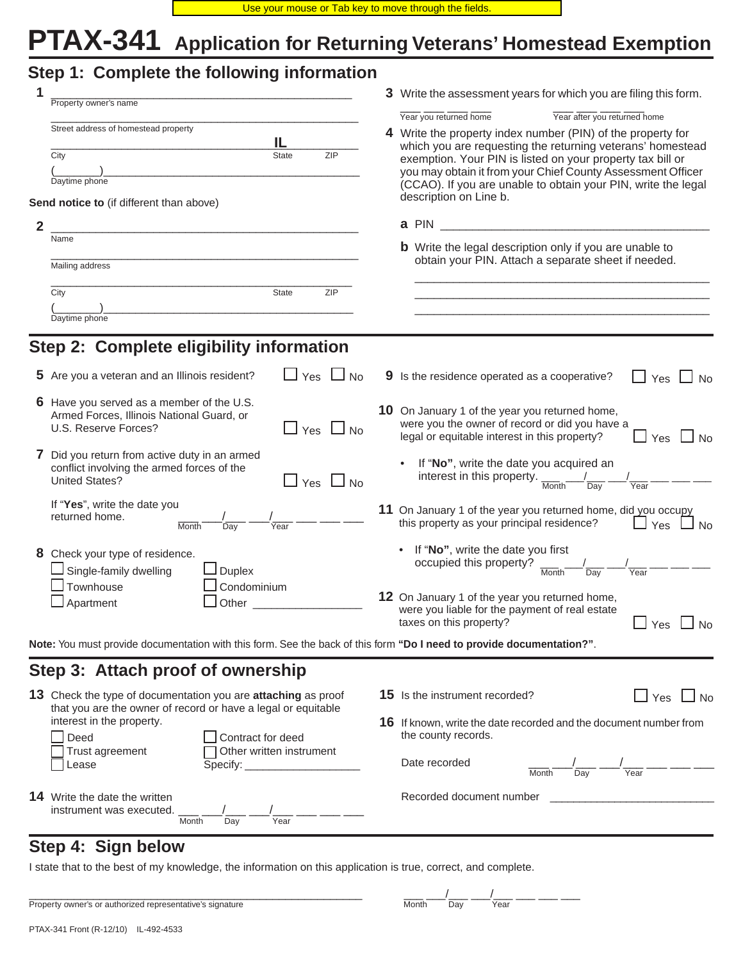# **PTAX-341 Application for Returning Veterans' Homestead Exemption**

|  | Step 1: Complete the following information |  |
|--|--------------------------------------------|--|
|  |                                            |  |

| 1 | Property owner's name                                                                                                                        | 3 Write the assessment years for which you are filing this form. |                                                                                                                                                                              |  |  |  |
|---|----------------------------------------------------------------------------------------------------------------------------------------------|------------------------------------------------------------------|------------------------------------------------------------------------------------------------------------------------------------------------------------------------------|--|--|--|
|   | Street address of homestead property                                                                                                         |                                                                  | Year after you returned home<br>Year you returned home<br>4 Write the property index number (PIN) of the property for                                                        |  |  |  |
|   | IL<br>ZIP<br>City<br><b>State</b>                                                                                                            |                                                                  | which you are requesting the returning veterans' homestead<br>exemption. Your PIN is listed on your property tax bill or                                                     |  |  |  |
|   | Daytime phone                                                                                                                                |                                                                  | you may obtain it from your Chief County Assessment Officer<br>(CCAO). If you are unable to obtain your PIN, write the legal                                                 |  |  |  |
|   | Send notice to (if different than above)                                                                                                     |                                                                  | description on Line b.                                                                                                                                                       |  |  |  |
| 2 | <u> 1980 - Johann John Stone, mensk politik (f. 1980)</u>                                                                                    |                                                                  | a PIN                                                                                                                                                                        |  |  |  |
|   | Name                                                                                                                                         |                                                                  | <b>b</b> Write the legal description only if you are unable to                                                                                                               |  |  |  |
|   | Mailing address                                                                                                                              |                                                                  | obtain your PIN. Attach a separate sheet if needed.                                                                                                                          |  |  |  |
|   | City<br><b>State</b><br>ZIP                                                                                                                  |                                                                  |                                                                                                                                                                              |  |  |  |
|   | Daytime phone                                                                                                                                |                                                                  |                                                                                                                                                                              |  |  |  |
|   |                                                                                                                                              |                                                                  |                                                                                                                                                                              |  |  |  |
|   | Step 2: Complete eligibility information                                                                                                     |                                                                  |                                                                                                                                                                              |  |  |  |
|   | $\Box$ Yes $\Box$<br>5 Are you a veteran and an Illinois resident?<br><b>No</b>                                                              |                                                                  | 9 Is the residence operated as a cooperative?<br>Yes<br><b>No</b>                                                                                                            |  |  |  |
|   | 6 Have you served as a member of the U.S.<br>Armed Forces, Illinois National Guard, or<br>U.S. Reserve Forces?<br>$\Box$ Yes<br><b>No</b>    |                                                                  | 10 On January 1 of the year you returned home,<br>were you the owner of record or did you have a<br>legal or equitable interest in this property?<br>$\Box$<br>Yes $\Box$ No |  |  |  |
|   | 7 Did you return from active duty in an armed<br>conflict involving the armed forces of the<br><b>United States?</b><br>$\Box$ Yes $\Box$ No |                                                                  | If "No", write the date you acquired an<br>interest in this property. $\frac{1}{\text{Month}}$<br>$\overline{Dav}$<br>Year                                                   |  |  |  |
|   | If "Yes", write the date you<br>returned home.<br>Month<br>Dav<br>Year                                                                       |                                                                  | 11 On January 1 of the year you returned home, did you occupy<br>this property as your principal residence?<br>$\Box$ Yes $\Box$<br>$\overline{\mathsf{J}}$ No               |  |  |  |
|   | 8 Check your type of residence.<br>Single-family dwelling<br>Duplex<br>Townhouse<br>Condominium                                              |                                                                  | • If "No", write the date you first<br>occupied this property?<br>$\frac{1}{\text{Month}}$<br>$\overline{Day}$<br>Year                                                       |  |  |  |
|   | Apartment<br>Other                                                                                                                           |                                                                  | 12 On January 1 of the year you returned home,<br>were you liable for the payment of real estate<br>taxes on this property?<br>」Yes 凵<br>No                                  |  |  |  |
|   | Note: You must provide documentation with this form. See the back of this form "Do I need to provide documentation?".                        |                                                                  |                                                                                                                                                                              |  |  |  |
|   | Step 3: Attach proof of ownership                                                                                                            |                                                                  |                                                                                                                                                                              |  |  |  |
|   | 13 Check the type of documentation you are attaching as proof<br>that you are the owner of record or have a legal or equitable               |                                                                  | 15 Is the instrument recorded?<br>$\sqcup$ Yes $\sqcup$ No                                                                                                                   |  |  |  |
|   | interest in the property.<br>Deed<br>Contract for deed                                                                                       |                                                                  | 16 If known, write the date recorded and the document number from<br>the county records.                                                                                     |  |  |  |
|   | Other written instrument<br>Trust agreement<br>Lease                                                                                         |                                                                  | Date recorded<br>Year<br>Day<br>Month                                                                                                                                        |  |  |  |
|   | <b>14</b> Write the date the written<br>instrument was executed.<br>Year<br>Month<br>Day                                                     |                                                                  | Recorded document number                                                                                                                                                     |  |  |  |

# **Step 4: Sign below**

I state that to the best of my knowledge, the information on this application is true, correct, and complete.

| Property owner's or authorized representative's signature | Month | Dav | Year |
|-----------------------------------------------------------|-------|-----|------|